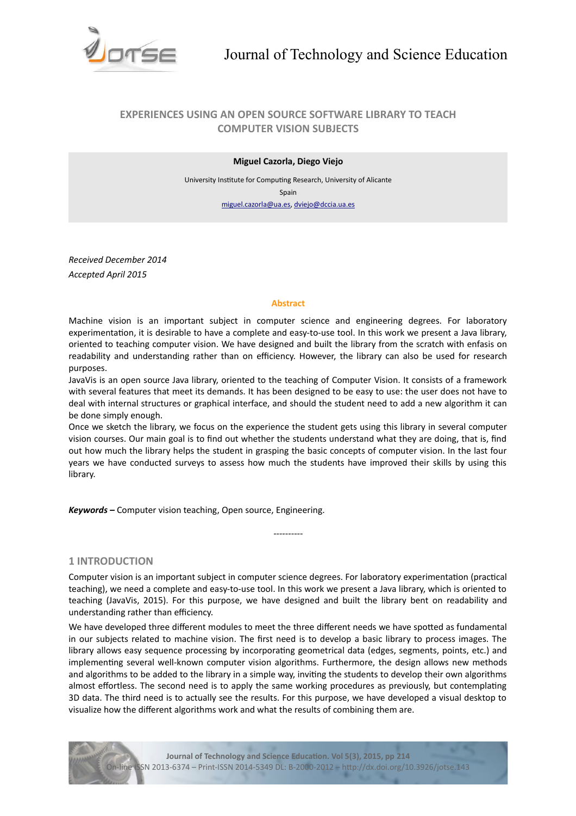

# **EXPERIENCES USING AN OPEN SOURCE SOFTWARE LIBRARY TO TEACH COMPUTER VISION SUBJECTS**

## **Miguel Cazorla, Diego Viejo**

University Insttute for Computng Research, University of Alicante Spain [miguel.cazorla@ua.es,](mailto:miguel.cazorla@ua.es) [dviejo@dccia.ua.es](mailto:dviejo@dccia.ua.es)

*Received December 2014 Accepted April 2015*

### **Abstract**

Machine vision is an important subject in computer science and engineering degrees. For laboratory experimentation, it is desirable to have a complete and easy-to-use tool. In this work we present a Java library, oriented to teaching computer vision. We have designed and built the library from the scratch with enfasis on readability and understanding rather than on efficiency. However, the library can also be used for research purposes.

JavaVis is an open source Java library, oriented to the teaching of Computer Vision. It consists of a framework with several features that meet its demands. It has been designed to be easy to use: the user does not have to deal with internal structures or graphical interface, and should the student need to add a new algorithm it can be done simply enough.

Once we sketch the library, we focus on the experience the student gets using this library in several computer vision courses. Our main goal is to fnd out whether the students understand what they are doing, that is, fnd out how much the library helps the student in grasping the basic concepts of computer vision. In the last four years we have conducted surveys to assess how much the students have improved their skills by using this library.

*Keywords –* Computer vision teaching, Open source, Engineering.

# **1 INTRODUCTION**

Computer vision is an important subject in computer science degrees. For laboratory experimentation (practical teaching), we need a complete and easy-to-use tool. In this work we present a Java library, which is oriented to teaching (JavaVis, 2015). For this purpose, we have designed and built the library bent on readability and understanding rather than efficiency.

----------

We have developed three diferent modules to meet the three diferent needs we have spoted as fundamental in our subjects related to machine vision. The frst need is to develop a basic library to process images. The library allows easy sequence processing by incorporating geometrical data (edges, segments, points, etc.) and implementing several well-known computer vision algorithms. Furthermore, the design allows new methods and algorithms to be added to the library in a simple way, invitng the students to develop their own algorithms almost effortless. The second need is to apply the same working procedures as previously, but contemplating 3D data. The third need is to actually see the results. For this purpose, we have developed a visual desktop to visualize how the diferent algorithms work and what the results of combining them are.

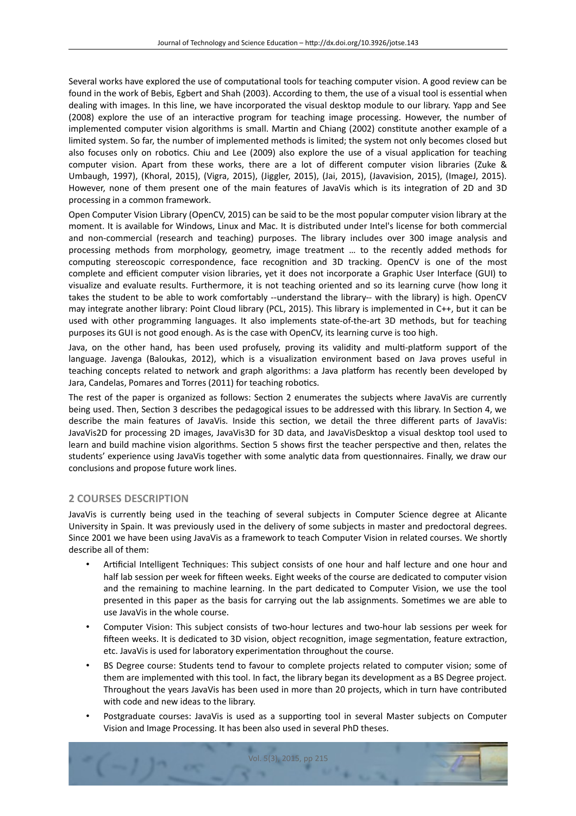Several works have explored the use of computational tools for teaching computer vision. A good review can be found in the work of Bebis, Egbert and Shah (2003). According to them, the use of a visual tool is essental when dealing with images. In this line, we have incorporated the visual desktop module to our library. Yapp and See (2008) explore the use of an interactive program for teaching image processing. However, the number of implemented computer vision algorithms is small. Martin and Chiang (2002) constitute another example of a limited system. So far, the number of implemented methods is limited; the system not only becomes closed but also focuses only on robotics. Chiu and Lee (2009) also explore the use of a visual application for teaching computer vision. Apart from these works, there are a lot of diferent computer vision libraries (Zuke & Umbaugh, 1997), (Khoral, 2015), (Vigra, 2015), (Jiggler, 2015), (Jai, 2015), (Javavision, 2015), (ImageJ, 2015). However, none of them present one of the main features of JavaVis which is its integration of 2D and 3D processing in a common framework.

Open Computer Vision Library (OpenCV, 2015) can be said to be the most popular computer vision library at the moment. It is available for Windows, Linux and Mac. It is distributed under Intel's license for both commercial and non-commercial (research and teaching) purposes. The library includes over 300 image analysis and processing methods from morphology, geometry, image treatment … to the recently added methods for computng stereoscopic correspondence, face recogniton and 3D tracking. OpenCV is one of the most complete and efficient computer vision libraries, yet it does not incorporate a Graphic User Interface (GUI) to visualize and evaluate results. Furthermore, it is not teaching oriented and so its learning curve (how long it takes the student to be able to work comfortably --understand the library-- with the library) is high. OpenCV may integrate another library: Point Cloud library (PCL, 2015). This library is implemented in C++, but it can be used with other programming languages. It also implements state-of-the-art 3D methods, but for teaching purposes its GUI is not good enough. As is the case with OpenCV, its learning curve is too high.

Java, on the other hand, has been used profusely, proving its validity and multi-platform support of the language. Javenga (Baloukas, 2012), which is a visualization environment based on Java proves useful in teaching concepts related to network and graph algorithms: a Java platform has recently been developed by Jara, Candelas, Pomares and Torres (2011) for teaching robotics.

The rest of the paper is organized as follows: Section 2 enumerates the subjects where JavaVis are currently being used. Then, Secton 3 describes the pedagogical issues to be addressed with this library. In Secton 4, we describe the main features of JavaVis. Inside this secton, we detail the three diferent parts of JavaVis: JavaVis2D for processing 2D images, JavaVis3D for 3D data, and JavaVisDesktop a visual desktop tool used to learn and build machine vision algorithms. Section 5 shows first the teacher perspective and then, relates the students' experience using JavaVis together with some analytic data from questionnaires. Finally, we draw our conclusions and propose future work lines.

# **2 COURSES DESCRIPTION**

JavaVis is currently being used in the teaching of several subjects in Computer Science degree at Alicante University in Spain. It was previously used in the delivery of some subjects in master and predoctoral degrees. Since 2001 we have been using JavaVis as a framework to teach Computer Vision in related courses. We shortly describe all of them:

- Artificial Intelligent Techniques: This subject consists of one hour and half lecture and one hour and half lab session per week for fifteen weeks. Eight weeks of the course are dedicated to computer vision and the remaining to machine learning. In the part dedicated to Computer Vision, we use the tool presented in this paper as the basis for carrying out the lab assignments. Sometmes we are able to use JavaVis in the whole course.
- Computer Vision: This subject consists of two-hour lectures and two-hour lab sessions per week for fifteen weeks. It is dedicated to 3D vision, object recognition, image segmentation, feature extraction, etc. JavaVis is used for laboratory experimentaton throughout the course.
- BS Degree course: Students tend to favour to complete projects related to computer vision; some of them are implemented with this tool. In fact, the library began its development as a BS Degree project. Throughout the years JavaVis has been used in more than 20 projects, which in turn have contributed with code and new ideas to the library.
- Postgraduate courses: JavaVis is used as a supporting tool in several Master subjects on Computer Vision and Image Processing. It has been also used in several PhD theses.

Vol. 5(3), 2015, pp 215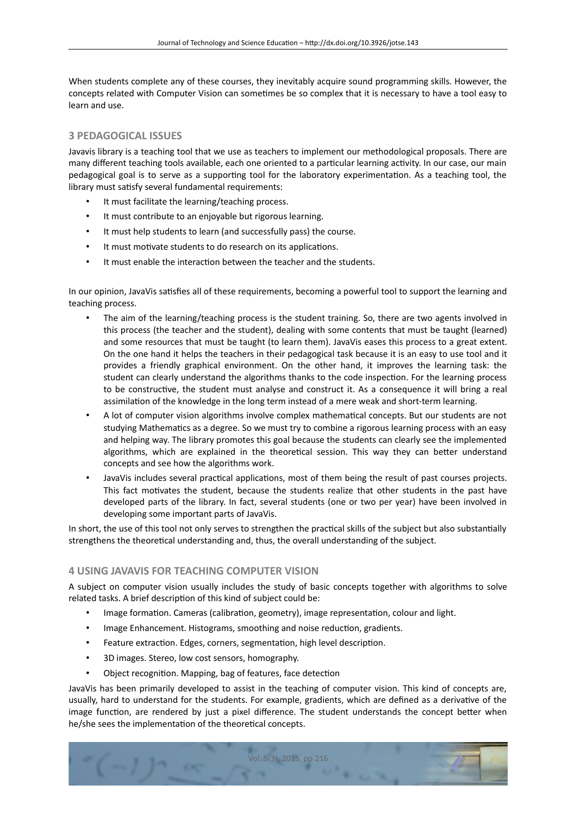When students complete any of these courses, they inevitably acquire sound programming skills. However, the concepts related with Computer Vision can sometmes be so complex that it is necessary to have a tool easy to learn and use.

# **3 PEDAGOGICAL ISSUES**

Javavis library is a teaching tool that we use as teachers to implement our methodological proposals. There are many different teaching tools available, each one oriented to a particular learning activity. In our case, our main pedagogical goal is to serve as a supporting tool for the laboratory experimentation. As a teaching tool, the library must satisfy several fundamental requirements:

- It must facilitate the learning/teaching process.
- It must contribute to an enjoyable but rigorous learning.
- It must help students to learn (and successfully pass) the course.
- It must motivate students to do research on its applications.
- It must enable the interacton between the teacher and the students.

In our opinion, JavaVis satsfes all of these requirements, becoming a powerful tool to support the learning and teaching process.

- The aim of the learning/teaching process is the student training. So, there are two agents involved in this process (the teacher and the student), dealing with some contents that must be taught (learned) and some resources that must be taught (to learn them). JavaVis eases this process to a great extent. On the one hand it helps the teachers in their pedagogical task because it is an easy to use tool and it provides a friendly graphical environment. On the other hand, it improves the learning task: the student can clearly understand the algorithms thanks to the code inspecton. For the learning process to be constructive, the student must analyse and construct it. As a consequence it will bring a real assimilation of the knowledge in the long term instead of a mere weak and short-term learning.
- A lot of computer vision algorithms involve complex mathematcal concepts. But our students are not studying Mathematics as a degree. So we must try to combine a rigorous learning process with an easy and helping way. The library promotes this goal because the students can clearly see the implemented algorithms, which are explained in the theoretical session. This way they can better understand concepts and see how the algorithms work.
- JavaVis includes several practical applications, most of them being the result of past courses projects. This fact motvates the student, because the students realize that other students in the past have developed parts of the library. In fact, several students (one or two per year) have been involved in developing some important parts of JavaVis.

In short, the use of this tool not only serves to strengthen the practical skills of the subject but also substantially strengthens the theoretical understanding and, thus, the overall understanding of the subject.

# **4 USING JAVAVIS FOR TEACHING COMPUTER VISION**

A subject on computer vision usually includes the study of basic concepts together with algorithms to solve related tasks. A brief description of this kind of subject could be:

- Image formation. Cameras (calibration, geometry), image representation, colour and light.
- Image Enhancement. Histograms, smoothing and noise reduction, gradients.
- Feature extraction. Edges, corners, segmentation, high level description.
- 3D images. Stereo, low cost sensors, homography.
- Object recognition. Mapping, bag of features, face detection

JavaVis has been primarily developed to assist in the teaching of computer vision. This kind of concepts are, usually, hard to understand for the students. For example, gradients, which are defned as a derivatve of the image function, are rendered by just a pixel difference. The student understands the concept better when he/she sees the implementation of the theoretical concepts.

Vol. 5(3), 2015, pp 216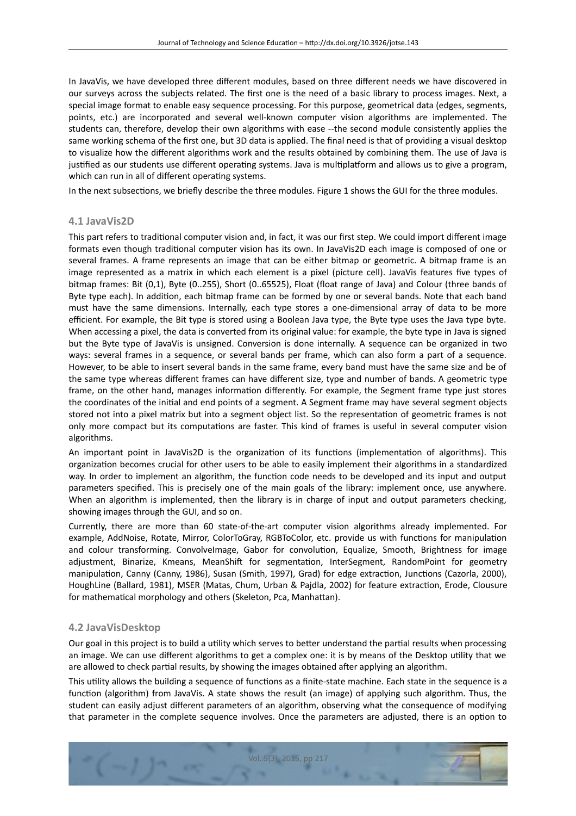In JavaVis, we have developed three diferent modules, based on three diferent needs we have discovered in our surveys across the subjects related. The frst one is the need of a basic library to process images. Next, a special image format to enable easy sequence processing. For this purpose, geometrical data (edges, segments, points, etc.) are incorporated and several well-known computer vision algorithms are implemented. The students can, therefore, develop their own algorithms with ease --the second module consistently applies the same working schema of the frst one, but 3D data is applied. The fnal need is that of providing a visual desktop to visualize how the diferent algorithms work and the results obtained by combining them. The use of Java is justified as our students use different operating systems. Java is multiplatform and allows us to give a program, which can run in all of different operating systems.

In the next subsections, we briefly describe the three modules. Figure 1 shows the GUI for the three modules.

# **4.1 JavaVis2D**

This part refers to traditonal computer vision and, in fact, it was our frst step. We could import diferent image formats even though traditonal computer vision has its own. In JavaVis2D each image is composed of one or several frames. A frame represents an image that can be either bitmap or geometric. A bitmap frame is an image represented as a matrix in which each element is a pixel (picture cell). JavaVis features fve types of bitmap frames: Bit (0,1), Byte (0..255), Short (0..65525), Float (foat range of Java) and Colour (three bands of Byte type each). In additon, each bitmap frame can be formed by one or several bands. Note that each band must have the same dimensions. Internally, each type stores a one-dimensional array of data to be more efficient. For example, the Bit type is stored using a Boolean Java type, the Byte type uses the Java type byte. When accessing a pixel, the data is converted from its original value: for example, the byte type in Java is signed but the Byte type of JavaVis is unsigned. Conversion is done internally. A sequence can be organized in two ways: several frames in a sequence, or several bands per frame, which can also form a part of a sequence. However, to be able to insert several bands in the same frame, every band must have the same size and be of the same type whereas diferent frames can have diferent size, type and number of bands. A geometric type frame, on the other hand, manages information differently. For example, the Segment frame type just stores the coordinates of the inital and end points of a segment. A Segment frame may have several segment objects stored not into a pixel matrix but into a segment object list. So the representaton of geometric frames is not only more compact but its computatons are faster. This kind of frames is useful in several computer vision algorithms.

An important point in JavaVis2D is the organization of its functions (implementation of algorithms). This organization becomes crucial for other users to be able to easily implement their algorithms in a standardized way. In order to implement an algorithm, the function code needs to be developed and its input and output parameters specifed. This is precisely one of the main goals of the library: implement once, use anywhere. When an algorithm is implemented, then the library is in charge of input and output parameters checking, showing images through the GUI, and so on.

Currently, there are more than 60 state-of-the-art computer vision algorithms already implemented. For example, AddNoise, Rotate, Mirror, ColorToGray, RGBToColor, etc. provide us with functions for manipulation and colour transforming. ConvolveImage, Gabor for convolution, Equalize, Smooth, Brightness for image adjustment, Binarize, Kmeans, MeanShift for segmentation, InterSegment, RandomPoint for geometry manipulation, Canny (Canny, 1986), Susan (Smith, 1997), Grad) for edge extraction, Junctions (Cazorla, 2000), HoughLine (Ballard, 1981), MSER (Matas, Chum, Urban & Pajdla, 2002) for feature extraction, Erode, Clousure for mathematical morphology and others (Skeleton, Pca, Manhattan).

# **4.2 JavaVisDesktop**

Our goal in this project is to build a utility which serves to better understand the partial results when processing an image. We can use diferent algorithms to get a complex one: it is by means of the Desktop utlity that we are allowed to check partial results, by showing the images obtained after applying an algorithm.

This utility allows the building a sequence of functions as a finite-state machine. Each state in the sequence is a function (algorithm) from JavaVis. A state shows the result (an image) of applying such algorithm. Thus, the student can easily adjust diferent parameters of an algorithm, observing what the consequence of modifying that parameter in the complete sequence involves. Once the parameters are adjusted, there is an opton to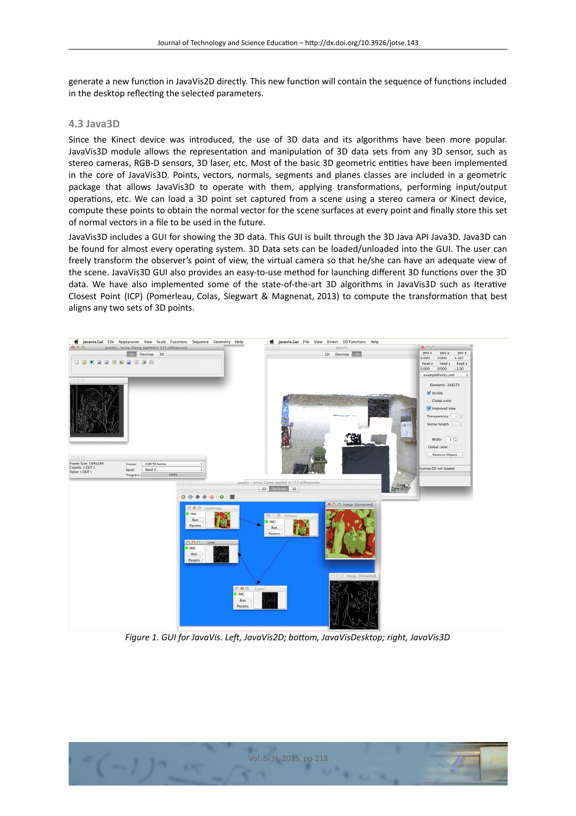generate a new function in JavaVis2D directly. This new function will contain the sequence of functions included in the desktop reflecting the selected parameters.

## **4.3 Java3D**

Since the Kinect device was introduced, the use of 3D data and its algorithms have been more popular. JavaVis3D module allows the representation and manipulation of 3D data sets from any 3D sensor, such as stereo cameras, RGB-D sensors, 3D laser, etc. Most of the basic 3D geometric entities have been implemented in the core of JavaVis3D. Points, vectors, normals, segments and planes classes are included in a geometric package that allows JavaVis3D to operate with them, applying transformations, performing input/output operations, etc. We can load a 3D point set captured from a scene using a stereo camera or Kinect device, compute these points to obtain the normal vector for the scene surfaces at every point and fnally store this set of normal vectors in a file to be used in the future.

JavaVis3D includes a GUI for showing the 3D data. This GUI is built through the 3D Java API Java3D. Java3D can be found for almost every operating system. 3D Data sets can be loaded/unloaded into the GUI. The user can freely transform the observer's point of view, the virtual camera so that he/she can have an adequate view of the scene. JavaVis3D GUI also provides an easy-to-use method for launching different 3D functions over the 3D data. We have also implemented some of the state-of-the-art 3D algorithms in JavaVis3D such as Iteratve Closest Point (ICP) (Pomerleau, Colas, Siegwart & Magnenat, 2013) to compute the transformaton that best aligns any two sets of 3D points.



*Figure 1. GUI for JavaVis. Lef, JavaVis2D; botom, JavaVisDesktop; right, JavaVis3D*

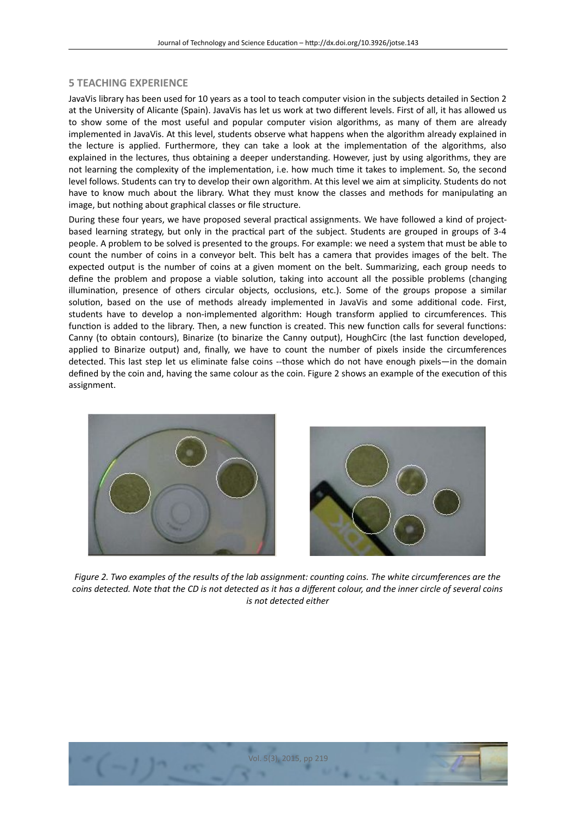# **5 TEACHING EXPERIENCE**

JavaVis library has been used for 10 years as a tool to teach computer vision in the subjects detailed in Secton 2 at the University of Alicante (Spain). JavaVis has let us work at two diferent levels. First of all, it has allowed us to show some of the most useful and popular computer vision algorithms, as many of them are already implemented in JavaVis. At this level, students observe what happens when the algorithm already explained in the lecture is applied. Furthermore, they can take a look at the implementaton of the algorithms, also explained in the lectures, thus obtaining a deeper understanding. However, just by using algorithms, they are not learning the complexity of the implementation, i.e. how much time it takes to implement. So, the second level follows. Students can try to develop their own algorithm. At this level we aim at simplicity. Students do not have to know much about the library. What they must know the classes and methods for manipulating an image, but nothing about graphical classes or file structure.

During these four years, we have proposed several practical assignments. We have followed a kind of projectbased learning strategy, but only in the practical part of the subject. Students are grouped in groups of 3-4 people. A problem to be solved is presented to the groups. For example: we need a system that must be able to count the number of coins in a conveyor belt. This belt has a camera that provides images of the belt. The expected output is the number of coins at a given moment on the belt. Summarizing, each group needs to define the problem and propose a viable solution, taking into account all the possible problems (changing illumination, presence of others circular objects, occlusions, etc.). Some of the groups propose a similar solution, based on the use of methods already implemented in JavaVis and some additional code. First, students have to develop a non-implemented algorithm: Hough transform applied to circumferences. This function is added to the library. Then, a new function is created. This new function calls for several functions: Canny (to obtain contours), Binarize (to binarize the Canny output), HoughCirc (the last function developed, applied to Binarize output) and, fnally, we have to count the number of pixels inside the circumferences detected. This last step let us eliminate false coins --those which do not have enough pixels—in the domain defned by the coin and, having the same colour as the coin. Figure 2 shows an example of the executon of this assignment.





*Figure 2. Two examples of the results of the lab assignment: countng coins. The white circumferences are the coins detected. Note that the CD is not detected as it has a diferent colour, and the inner circle of several coins is not detected either*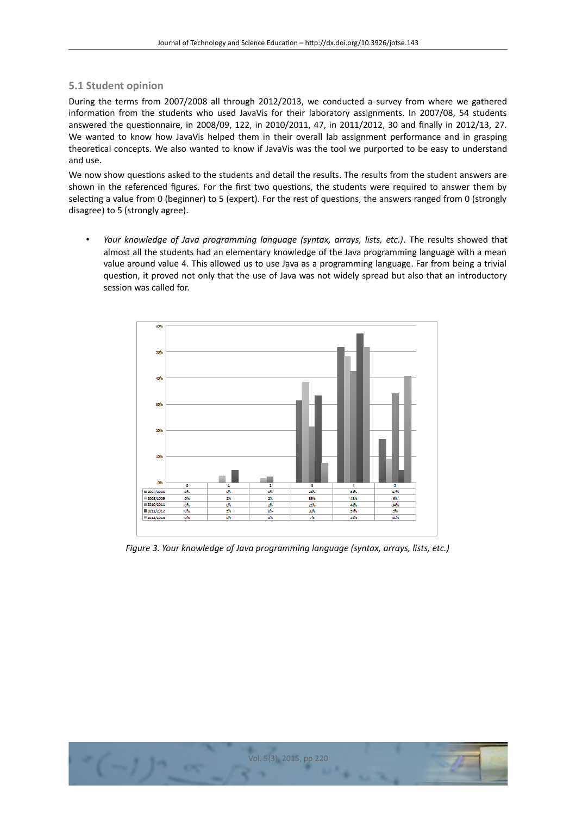## **5.1 Student opinion**

During the terms from 2007/2008 all through 2012/2013, we conducted a survey from where we gathered information from the students who used JavaVis for their laboratory assignments. In 2007/08, 54 students answered the questonnaire, in 2008/09, 122, in 2010/2011, 47, in 2011/2012, 30 and fnally in 2012/13, 27. We wanted to know how JavaVis helped them in their overall lab assignment performance and in grasping theoretcal concepts. We also wanted to know if JavaVis was the tool we purported to be easy to understand and use.

We now show questions asked to the students and detail the results. The results from the student answers are shown in the referenced figures. For the first two questions, the students were required to answer them by selecting a value from 0 (beginner) to 5 (expert). For the rest of questions, the answers ranged from 0 (strongly disagree) to 5 (strongly agree).

• *Your knowledge of Java programming language (syntax, arrays, lists, etc.)*. The results showed that almost all the students had an elementary knowledge of the Java programming language with a mean value around value 4. This allowed us to use Java as a programming language. Far from being a trivial question, it proved not only that the use of Java was not widely spread but also that an introductory session was called for.



*Figure 3. Your knowledge of Java programming language (syntax, arrays, lists, etc.)*

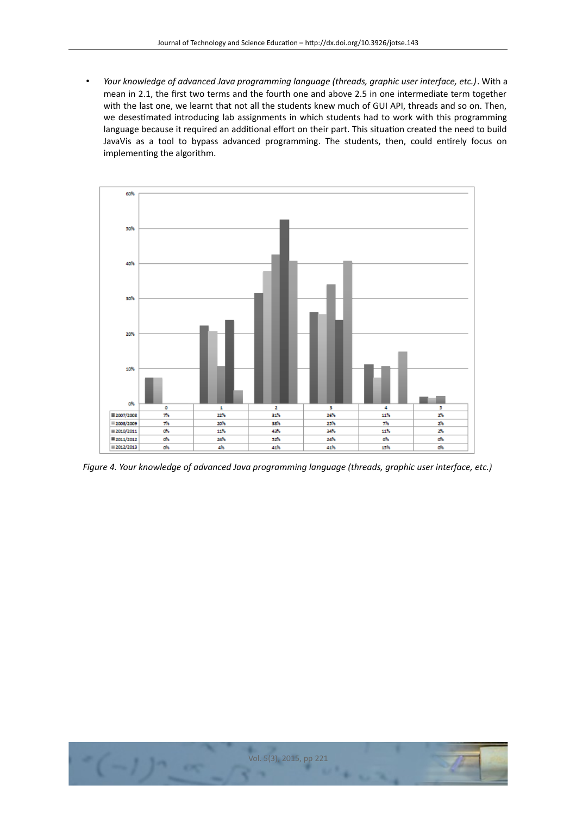• *Your knowledge of advanced Java programming language (threads, graphic user interface, etc.)*. With a mean in 2.1, the frst two terms and the fourth one and above 2.5 in one intermediate term together with the last one, we learnt that not all the students knew much of GUI API, threads and so on. Then, we desestmated introducing lab assignments in which students had to work with this programming language because it required an additional effort on their part. This situation created the need to build JavaVis as a tool to bypass advanced programming. The students, then, could entrely focus on implementing the algorithm.



*Figure 4. Your knowledge of advanced Java programming language (threads, graphic user interface, etc.)*

**CKS**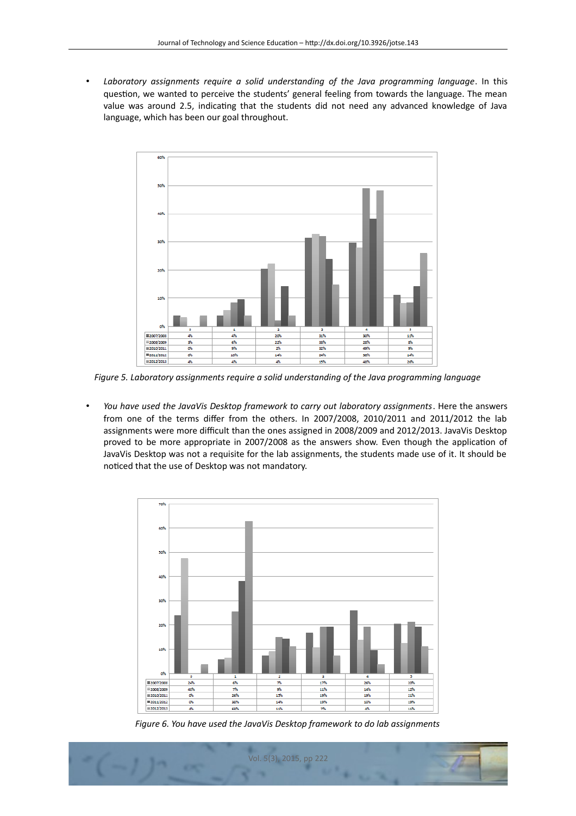• *Laboratory assignments require a solid understanding of the Java programming language*. In this question, we wanted to perceive the students' general feeling from towards the language. The mean value was around 2.5, indicating that the students did not need any advanced knowledge of Java language, which has been our goal throughout.



*Figure 5. Laboratory assignments require a solid understanding of the Java programming language*

• *You have used the JavaVis Desktop framework to carry out laboratory assignments*. Here the answers from one of the terms difer from the others. In 2007/2008, 2010/2011 and 2011/2012 the lab assignments were more difficult than the ones assigned in 2008/2009 and 2012/2013. JavaVis Desktop proved to be more appropriate in 2007/2008 as the answers show. Even though the application of JavaVis Desktop was not a requisite for the lab assignments, the students made use of it. It should be noticed that the use of Desktop was not mandatory.



*Figure 6. You have used the JavaVis Desktop framework to do lab assignments*

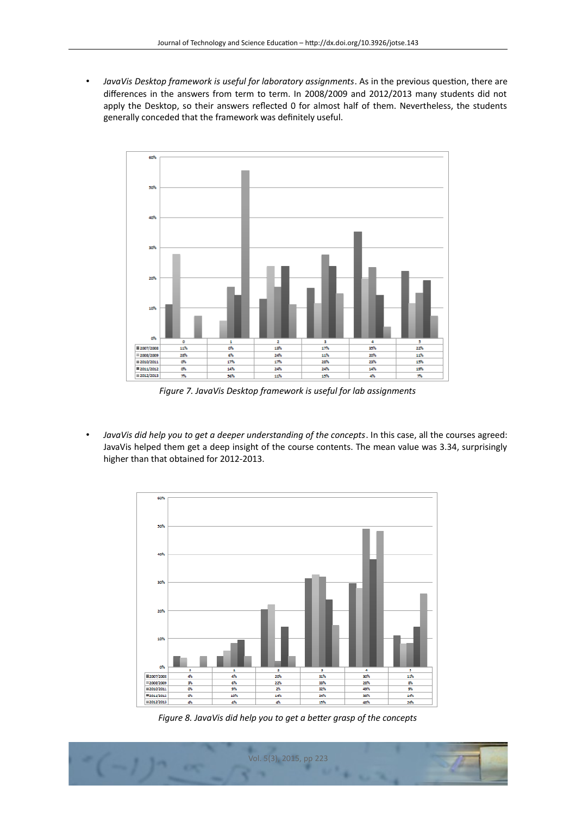• *JavaVis Desktop framework is useful for laboratory assignments*. As in the previous queston, there are diferences in the answers from term to term. In 2008/2009 and 2012/2013 many students did not apply the Desktop, so their answers refected 0 for almost half of them. Nevertheless, the students generally conceded that the framework was defnitely useful.



*Figure 7. JavaVis Desktop framework is useful for lab assignments*

• *JavaVis did help you to get a deeper understanding of the concepts*. In this case, all the courses agreed: JavaVis helped them get a deep insight of the course contents. The mean value was 3.34, surprisingly higher than that obtained for 2012-2013.



*Figure 8. JavaVis did help you to get a beter grasp of the concepts*

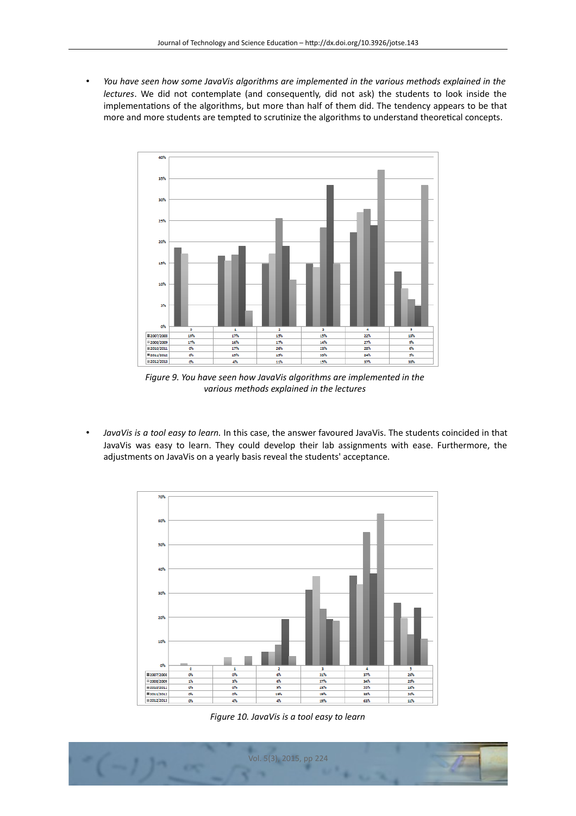• *You have seen how some JavaVis algorithms are implemented in the various methods explained in the lectures*. We did not contemplate (and consequently, did not ask) the students to look inside the implementations of the algorithms, but more than half of them did. The tendency appears to be that more and more students are tempted to scrutinize the algorithms to understand theoretical concepts.



*Figure 9. You have seen how JavaVis algorithms are implemented in the various methods explained in the lectures*

• *JavaVis is a tool easy to learn.* In this case, the answer favoured JavaVis. The students coincided in that JavaVis was easy to learn. They could develop their lab assignments with ease. Furthermore, the adjustments on JavaVis on a yearly basis reveal the students' acceptance.



*Figure 10. JavaVis is a tool easy to learn*

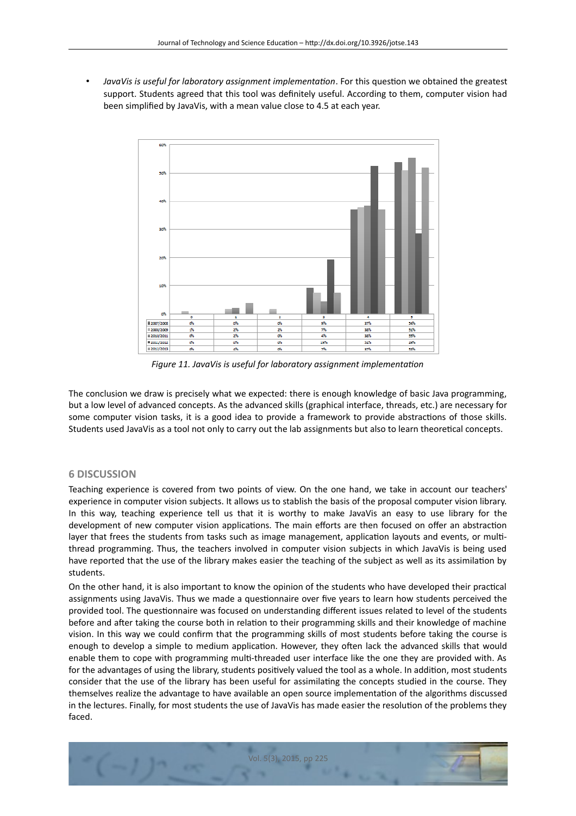• *JavaVis is useful for laboratory assignment implementaton*. For this queston we obtained the greatest support. Students agreed that this tool was definitely useful. According to them, computer vision had been simplifed by JavaVis, with a mean value close to 4.5 at each year.



*Figure 11. JavaVis is useful for laboratory assignment implementaton*

The conclusion we draw is precisely what we expected: there is enough knowledge of basic Java programming, but a low level of advanced concepts. As the advanced skills (graphical interface, threads, etc.) are necessary for some computer vision tasks, it is a good idea to provide a framework to provide abstractions of those skills. Students used JavaVis as a tool not only to carry out the lab assignments but also to learn theoretical concepts.

# **6 DISCUSSION**

Teaching experience is covered from two points of view. On the one hand, we take in account our teachers' experience in computer vision subjects. It allows us to stablish the basis of the proposal computer vision library. In this way, teaching experience tell us that it is worthy to make JavaVis an easy to use library for the development of new computer vision applications. The main efforts are then focused on offer an abstraction layer that frees the students from tasks such as image management, application layouts and events, or multithread programming. Thus, the teachers involved in computer vision subjects in which JavaVis is being used have reported that the use of the library makes easier the teaching of the subject as well as its assimilation by students.

On the other hand, it is also important to know the opinion of the students who have developed their practcal assignments using JavaVis. Thus we made a questionnaire over five years to learn how students perceived the provided tool. The questonnaire was focused on understanding diferent issues related to level of the students before and after taking the course both in relation to their programming skills and their knowledge of machine vision. In this way we could confrm that the programming skills of most students before taking the course is enough to develop a simple to medium application. However, they often lack the advanced skills that would enable them to cope with programming mult-threaded user interface like the one they are provided with. As for the advantages of using the library, students positvely valued the tool as a whole. In additon, most students consider that the use of the library has been useful for assimilatng the concepts studied in the course. They themselves realize the advantage to have available an open source implementation of the algorithms discussed in the lectures. Finally, for most students the use of JavaVis has made easier the resolution of the problems they faced.

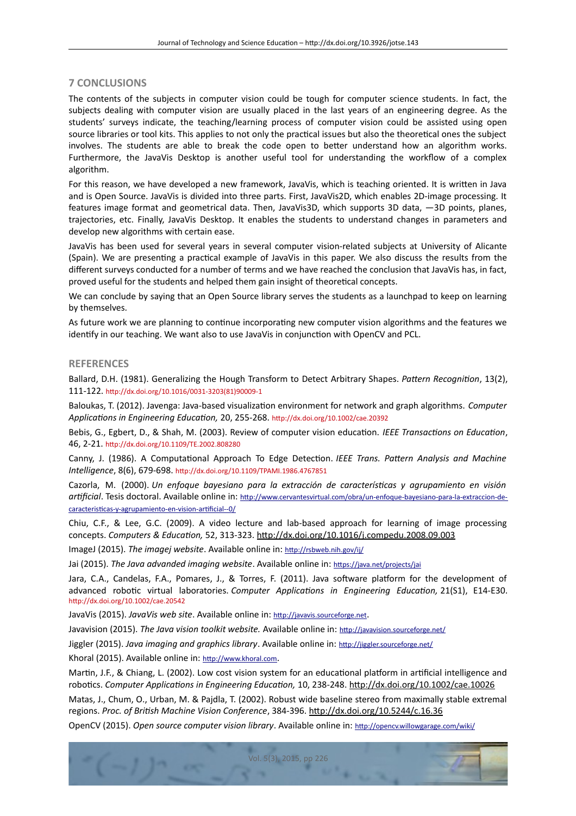# **7 CONCLUSIONS**

The contents of the subjects in computer vision could be tough for computer science students. In fact, the subjects dealing with computer vision are usually placed in the last years of an engineering degree. As the students' surveys indicate, the teaching/learning process of computer vision could be assisted using open source libraries or tool kits. This applies to not only the practical issues but also the theoretical ones the subject involves. The students are able to break the code open to better understand how an algorithm works. Furthermore, the JavaVis Desktop is another useful tool for understanding the workfow of a complex algorithm.

For this reason, we have developed a new framework, JavaVis, which is teaching oriented. It is writen in Java and is Open Source. JavaVis is divided into three parts. First, JavaVis2D, which enables 2D-image processing. It features image format and geometrical data. Then, JavaVis3D, which supports 3D data,  $-3D$  points, planes, trajectories, etc. Finally, JavaVis Desktop. It enables the students to understand changes in parameters and develop new algorithms with certain ease.

JavaVis has been used for several years in several computer vision-related subjects at University of Alicante (Spain). We are presentng a practcal example of JavaVis in this paper. We also discuss the results from the diferent surveys conducted for a number of terms and we have reached the conclusion that JavaVis has, in fact, proved useful for the students and helped them gain insight of theoretical concepts.

We can conclude by saying that an Open Source library serves the students as a launchpad to keep on learning by themselves.

As future work we are planning to continue incorporating new computer vision algorithms and the features we identify in our teaching. We want also to use JavaVis in conjunction with OpenCV and PCL.

## **REFERENCES**

Ballard, D.H. (1981). Generalizing the Hough Transform to Detect Arbitrary Shapes. *Patern Recogniton*, 13(2), 111-122. [htp://dx.doi.org/10.1016/0031-3203\(81\)90009-1](http://dx.doi.org/10.1016/0031-3203(81)90009-1)

Baloukas, T. (2012). Javenga: Java-based visualizaton environment for network and graph algorithms. *Computer Applicatons in Engineering Educaton,* 20, 255-268. [htp://dx.doi.org/10.1002/cae.20392](http://dx.doi.org/10.1002/cae.20392)

Bebis, G., Egbert, D., & Shah, M. (2003). Review of computer vision education. *IEEE Transactions on Education*, 46, 2-21. [htp://dx.doi.org/10.1109/TE.2002.808280](http://dx.doi.org/10.1109/TE.2002.808280)

Canny, J. (1986). A Computational Approach To Edge Detection. *IEEE Trans. Pattern Analysis and Machine Intelligence*, 8(6), 679-698. [htp://dx.doi.org/10.1109/TPAMI.1986.4767851](http://dx.doi.org/10.1109/TPAMI.1986.4767851)

Cazorla, M. (2000). *Un enfoque bayesiano para la extracción de característcas y agrupamiento en visión artfcial*. Tesis doctoral. Available online in: [htp://www.cervantesvirtual.com/obra/un-enfoque-bayesiano-para-la-extraccion-de](http://www.cervantesvirtual.com/obra/un-enfoque-bayesiano-para-la-extraccion-de-caracteristicas-y-agrupamiento-en-vision-artificial--0/)caracteristicas-y-agrupamiento-en-vision-artificial--0/

Chiu, C.F., & Lee, G.C. (2009). A video lecture and lab-based approach for learning of image processing concepts. *Computers & Educaton,* 52, 313-323. [htp://dx.doi.org/10.1016/j.compedu.2008.09.003](http://dx.doi.org/10.1016/j.compedu.2008.09.003)

ImageJ (2015). *The imagej website*. Available online in: [htp://rsbweb.nih.gov/ij/](http://rsbweb.nih.gov/ij/)

Jai (2015). *The Java advanded imaging website*. Available online in: [htps://java.net/projects/jai](https://java.net/projects/jai)

Jara, C.A., Candelas, F.A., Pomares, J., & Torres, F. (2011). Java software platform for the development of advanced robotic virtual laboratories. *Computer Applications in Engineering Education*, 21(S1), E14-E30. [htp://dx.doi.org/10.1002/cae.20542](http://dx.doi.org/10.1002/cae.20542)

JavaVis (2015). *JavaVis web site*. Available online in: [htp://javavis.sourceforge.net](http://javavis.sourceforge.net/).

Javavision (2015). *The Java vision toolkit website*. Available online in: http://javavision.sourceforge.net/

Jiggler (2015). *Java imaging and graphics library*. Available online in: [htp://jiggler.sourceforge.net/](http://jiggler.sourceforge.net/)

Khoral (2015). Available online in: [htp://www.khoral.com](http://www.khoral.com/).

Martin, J.F., & Chiang, L. (2002). Low cost vision system for an educational platform in artificial intelligence and robotcs. *Computer Applicatons in Engineering Educaton,* 10, 238-248. [htp://dx.doi.org/10.1002/cae.10026](http://dx.doi.org/10.1002/cae.10026)

Matas, J., Chum, O., Urban, M. & Pajdla, T. (2002). Robust wide baseline stereo from maximally stable extremal regions. *Proc. of Britsh Machine Vision Conference*, 384-396. [htp://dx.doi.org/10.5244/c.16.36](http://dx.doi.org/10.5244/c.16.36)

OpenCV (2015). *Open source computer vision library*. Available online in: [htp://opencv.willowgarage.com/wiki/](http://opencv.willowgarage.com/wiki/)